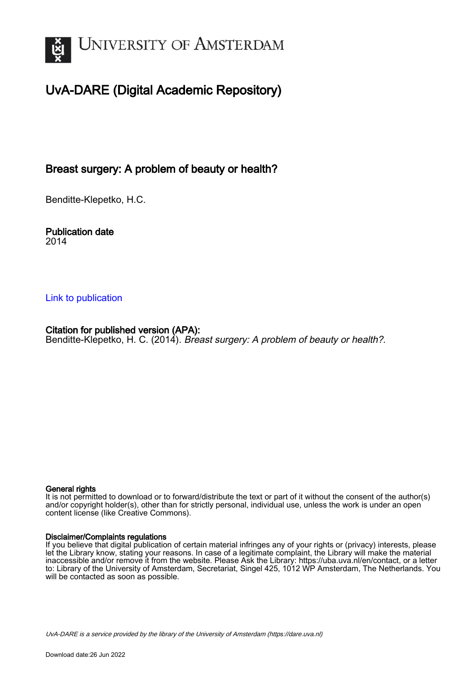

# UvA-DARE (Digital Academic Repository)

## Breast surgery: A problem of beauty or health?

Benditte-Klepetko, H.C.

Publication date 2014

## [Link to publication](https://dare.uva.nl/personal/pure/en/publications/breast-surgery-a-problem-of-beauty-or-health(b82d148f-cf29-4d7c-8180-7330196302dc).html)

Citation for published version (APA): Benditte-Klepetko, H. C. (2014). Breast surgery: A problem of beauty or health?.

#### General rights

It is not permitted to download or to forward/distribute the text or part of it without the consent of the author(s) and/or copyright holder(s), other than for strictly personal, individual use, unless the work is under an open content license (like Creative Commons).

#### Disclaimer/Complaints regulations

If you believe that digital publication of certain material infringes any of your rights or (privacy) interests, please let the Library know, stating your reasons. In case of a legitimate complaint, the Library will make the material inaccessible and/or remove it from the website. Please Ask the Library: https://uba.uva.nl/en/contact, or a letter to: Library of the University of Amsterdam, Secretariat, Singel 425, 1012 WP Amsterdam, The Netherlands. You will be contacted as soon as possible.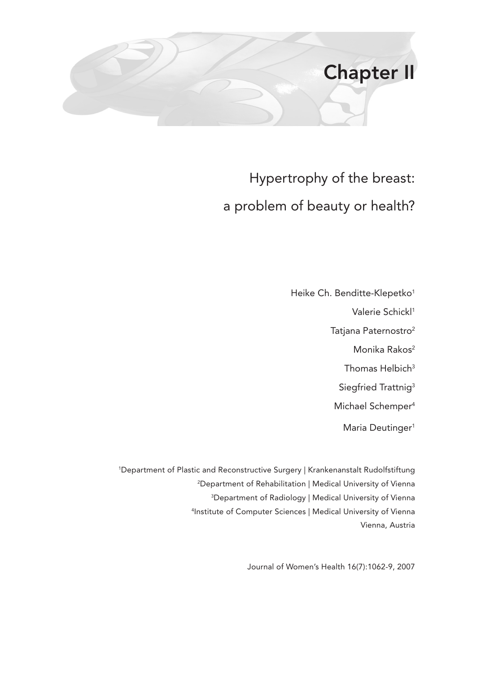

# Hypertrophy of the breast: a problem of beauty or health?

Heike Ch. Benditte-Klepetko<sup>1</sup> Valerie Schickl<sup>1</sup> Tatjana Paternostro<sup>2</sup> Monika Rakos<sup>2</sup> Thomas Helbich<sup>3</sup> Siegfried Trattnig<sup>3</sup> Michael Schemper<sup>4</sup> Maria Deutinger<sup>1</sup>

 Department of Plastic and Reconstructive Surgery | Krankenanstalt Rudolfstiftung Department of Rehabilitation | Medical University of Vienna Department of Radiology | Medical University of Vienna Institute of Computer Sciences | Medical University of Vienna Vienna, Austria

Journal of Women's Health 16(7):1062-9, 2007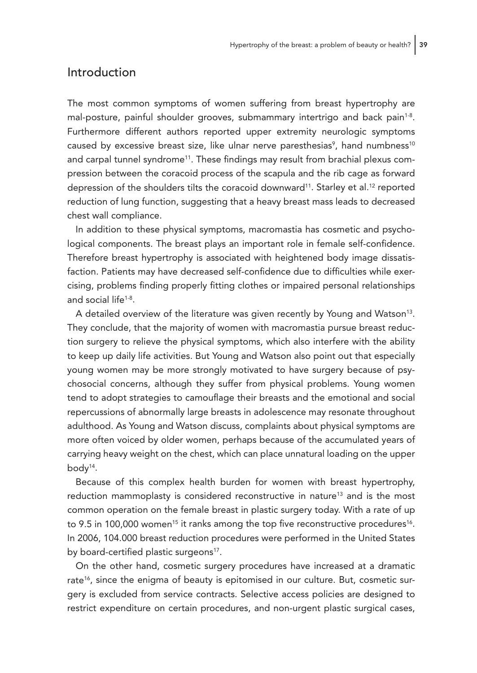#### Introduction

The most common symptoms of women suffering from breast hypertrophy are mal-posture, painful shoulder grooves, submammary intertrigo and back pain<sup>1-8</sup>. Furthermore different authors reported upper extremity neurologic symptoms caused by excessive breast size, like ulnar nerve paresthesias<sup>9</sup>, hand numbness<sup>10</sup> and carpal tunnel syndrome<sup>11</sup>. These findings may result from brachial plexus compression between the coracoid process of the scapula and the rib cage as forward depression of the shoulders tilts the coracoid downward<sup>11</sup>. Starley et al.<sup>12</sup> reported reduction of lung function, suggesting that a heavy breast mass leads to decreased chest wall compliance.

In addition to these physical symptoms, macromastia has cosmetic and psychological components. The breast plays an important role in female self-confidence. Therefore breast hypertrophy is associated with heightened body image dissatisfaction. Patients may have decreased self-confidence due to difficulties while exercising, problems finding properly fitting clothes or impaired personal relationships and social life1-8 .

A detailed overview of the literature was given recently by Young and Watson<sup>13</sup>. They conclude, that the majority of women with macromastia pursue breast reduction surgery to relieve the physical symptoms, which also interfere with the ability to keep up daily life activities. But Young and Watson also point out that especially young women may be more strongly motivated to have surgery because of psychosocial concerns, although they suffer from physical problems. Young women tend to adopt strategies to camouflage their breasts and the emotional and social repercussions of abnormally large breasts in adolescence may resonate throughout adulthood. As Young and Watson discuss, complaints about physical symptoms are more often voiced by older women, perhaps because of the accumulated years of carrying heavy weight on the chest, which can place unnatural loading on the upper body<sup>14</sup>.

Because of this complex health burden for women with breast hypertrophy, reduction mammoplasty is considered reconstructive in nature<sup>13</sup> and is the most common operation on the female breast in plastic surgery today. With a rate of up to 9.5 in 100,000 women<sup>15</sup> it ranks among the top five reconstructive procedures<sup>16</sup>. In 2006, 104.000 breast reduction procedures were performed in the United States by board-certified plastic surgeons<sup>17</sup>.

On the other hand, cosmetic surgery procedures have increased at a dramatic rate<sup>16</sup>, since the enigma of beauty is epitomised in our culture. But, cosmetic surgery is excluded from service contracts. Selective access policies are designed to restrict expenditure on certain procedures, and non-urgent plastic surgical cases,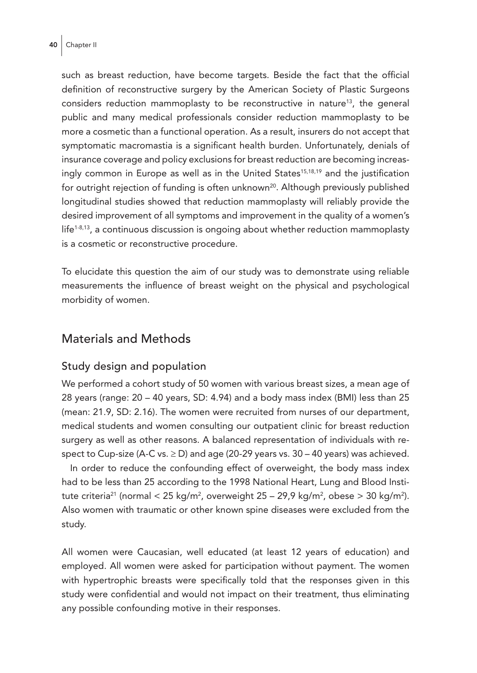such as breast reduction, have become targets. Beside the fact that the official definition of reconstructive surgery by the American Society of Plastic Surgeons considers reduction mammoplasty to be reconstructive in nature<sup>13</sup>, the general public and many medical professionals consider reduction mammoplasty to be more a cosmetic than a functional operation. As a result, insurers do not accept that symptomatic macromastia is a significant health burden. Unfortunately, denials of insurance coverage and policy exclusions for breast reduction are becoming increasingly common in Europe as well as in the United States<sup>15,18,19</sup> and the justification for outright rejection of funding is often unknown<sup>20</sup>. Although previously published longitudinal studies showed that reduction mammoplasty will reliably provide the desired improvement of all symptoms and improvement in the quality of a women's  $l$ ife<sup>1-8,13</sup>, a continuous discussion is ongoing about whether reduction mammoplasty is a cosmetic or reconstructive procedure.

To elucidate this question the aim of our study was to demonstrate using reliable measurements the influence of breast weight on the physical and psychological morbidity of women.

### Materials and Methods

#### Study design and population

We performed a cohort study of 50 women with various breast sizes, a mean age of 28 years (range: 20 – 40 years, SD: 4.94) and a body mass index (BMI) less than 25 (mean: 21.9, SD: 2.16). The women were recruited from nurses of our department, medical students and women consulting our outpatient clinic for breast reduction surgery as well as other reasons. A balanced representation of individuals with respect to Cup-size (A-C vs.  $\geq$  D) and age (20-29 years vs. 30 – 40 years) was achieved.

In order to reduce the confounding effect of overweight, the body mass index had to be less than 25 according to the 1998 National Heart, Lung and Blood Institute criteria $^{21}$  (normal < 25 kg/m $^2$ , overweight 25 – 29,9 kg/m $^2$ , obese > 30 kg/m $^2$ ). Also women with traumatic or other known spine diseases were excluded from the study.

All women were Caucasian, well educated (at least 12 years of education) and employed. All women were asked for participation without payment. The women with hypertrophic breasts were specifically told that the responses given in this study were confidential and would not impact on their treatment, thus eliminating any possible confounding motive in their responses.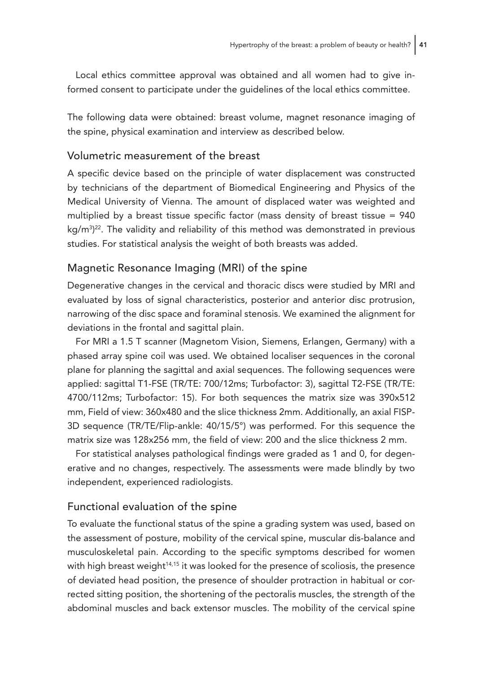Local ethics committee approval was obtained and all women had to give informed consent to participate under the guidelines of the local ethics committee.

The following data were obtained: breast volume, magnet resonance imaging of the spine, physical examination and interview as described below.

#### Volumetric measurement of the breast

A specific device based on the principle of water displacement was constructed by technicians of the department of Biomedical Engineering and Physics of the Medical University of Vienna. The amount of displaced water was weighted and multiplied by a breast tissue specific factor (mass density of breast tissue = 940 kg/m3 ) 22. The validity and reliability of this method was demonstrated in previous studies. For statistical analysis the weight of both breasts was added.

#### Magnetic Resonance Imaging (MRI) of the spine

Degenerative changes in the cervical and thoracic discs were studied by MRI and evaluated by loss of signal characteristics, posterior and anterior disc protrusion, narrowing of the disc space and foraminal stenosis. We examined the alignment for deviations in the frontal and sagittal plain.

For MRI a 1.5 T scanner (Magnetom Vision, Siemens, Erlangen, Germany) with a phased array spine coil was used. We obtained localiser sequences in the coronal plane for planning the sagittal and axial sequences. The following sequences were applied: sagittal T1-FSE (TR/TE: 700/12ms; Turbofactor: 3), sagittal T2-FSE (TR/TE: 4700/112ms; Turbofactor: 15). For both sequences the matrix size was 390x512 mm, Field of view: 360x480 and the slice thickness 2mm. Additionally, an axial FISP-3D sequence (TR/TE/Flip-ankle: 40/15/5°) was performed. For this sequence the matrix size was 128x256 mm, the field of view: 200 and the slice thickness 2 mm.

For statistical analyses pathological findings were graded as 1 and 0, for degenerative and no changes, respectively. The assessments were made blindly by two independent, experienced radiologists.

#### Functional evaluation of the spine

To evaluate the functional status of the spine a grading system was used, based on the assessment of posture, mobility of the cervical spine, muscular dis-balance and musculoskeletal pain. According to the specific symptoms described for women with high breast weight<sup>14,15</sup> it was looked for the presence of scoliosis, the presence of deviated head position, the presence of shoulder protraction in habitual or corrected sitting position, the shortening of the pectoralis muscles, the strength of the abdominal muscles and back extensor muscles. The mobility of the cervical spine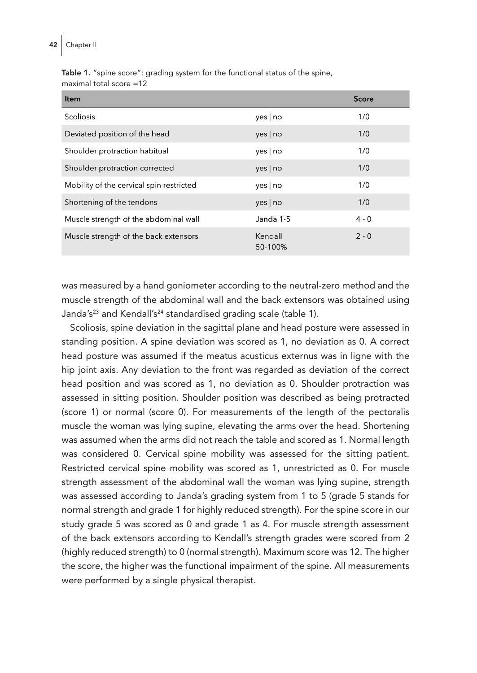Table 1. "spine score": grading system for the functional status of the spine, maximal total score =12

| <b>Item</b>                              |                    | <b>Score</b> |
|------------------------------------------|--------------------|--------------|
| Scoliosis                                | yes   no           | 1/0          |
| Deviated position of the head            | yes no             | 1/0          |
| Shoulder protraction habitual            | yes   no           | 1/0          |
| Shoulder protraction corrected           | yes no             | 1/0          |
| Mobility of the cervical spin restricted | yes no             | 1/0          |
| Shortening of the tendons                | yes no             | 1/0          |
| Muscle strength of the abdominal wall    | Janda 1-5          | $4 - 0$      |
| Muscle strength of the back extensors    | Kendall<br>50-100% | $2 - 0$      |

was measured by a hand goniometer according to the neutral-zero method and the muscle strength of the abdominal wall and the back extensors was obtained using Janda's<sup>23</sup> and Kendall's<sup>24</sup> standardised grading scale (table 1).

Scoliosis, spine deviation in the sagittal plane and head posture were assessed in standing position. A spine deviation was scored as 1, no deviation as 0. A correct head posture was assumed if the meatus acusticus externus was in ligne with the hip joint axis. Any deviation to the front was regarded as deviation of the correct head position and was scored as 1, no deviation as 0. Shoulder protraction was assessed in sitting position. Shoulder position was described as being protracted (score 1) or normal (score 0). For measurements of the length of the pectoralis muscle the woman was lying supine, elevating the arms over the head. Shortening was assumed when the arms did not reach the table and scored as 1. Normal length was considered 0. Cervical spine mobility was assessed for the sitting patient. Restricted cervical spine mobility was scored as 1, unrestricted as 0. For muscle strength assessment of the abdominal wall the woman was lying supine, strength was assessed according to Janda's grading system from 1 to 5 (grade 5 stands for normal strength and grade 1 for highly reduced strength). For the spine score in our study grade 5 was scored as 0 and grade 1 as 4. For muscle strength assessment of the back extensors according to Kendall's strength grades were scored from 2 (highly reduced strength) to 0 (normal strength). Maximum score was 12. The higher the score, the higher was the functional impairment of the spine. All measurements were performed by a single physical therapist.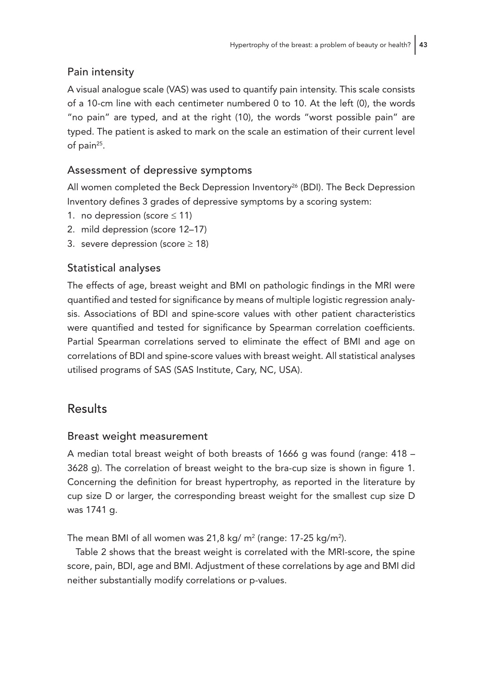## Pain intensity

A visual analogue scale (VAS) was used to quantify pain intensity. This scale consists of a 10-cm line with each centimeter numbered 0 to 10. At the left (0), the words "no pain" are typed, and at the right (10), the words "worst possible pain" are typed. The patient is asked to mark on the scale an estimation of their current level of pain<sup>25</sup>.

## Assessment of depressive symptoms

All women completed the Beck Depression Inventory<sup>26</sup> (BDI). The Beck Depression Inventory defines 3 grades of depressive symptoms by a scoring system:

- 1. no depression (score  $\leq 11$ )
- 2. mild depression (score 12–17)
- 3. severe depression (score  $\ge$  18)

### Statistical analyses

The effects of age, breast weight and BMI on pathologic findings in the MRI were quantified and tested for significance by means of multiple logistic regression analysis. Associations of BDI and spine-score values with other patient characteristics were quantified and tested for significance by Spearman correlation coefficients. Partial Spearman correlations served to eliminate the effect of BMI and age on correlations of BDI and spine-score values with breast weight. All statistical analyses utilised programs of SAS (SAS Institute, Cary, NC, USA).

## Results

#### Breast weight measurement

A median total breast weight of both breasts of 1666 g was found (range: 418 – 3628 g). The correlation of breast weight to the bra-cup size is shown in figure 1. Concerning the definition for breast hypertrophy, as reported in the literature by cup size D or larger, the corresponding breast weight for the smallest cup size D was 1741 g.

The mean BMI of all women was 21,8 kg/ m² (range: 17-25 kg/m²).

Table 2 shows that the breast weight is correlated with the MRI-score, the spine score, pain, BDI, age and BMI. Adjustment of these correlations by age and BMI did neither substantially modify correlations or p-values.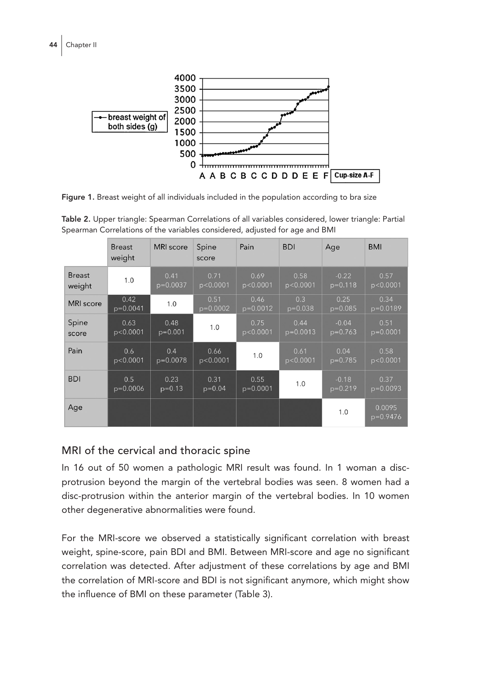

Figure 1. Breast weight of all individuals included in the population according to bra size

|                         | <b>Breast</b><br>weight | <b>MRI</b> score   | Spine<br>score     | Pain               | <b>BDI</b>         | Age                  | <b>BMI</b>         |
|-------------------------|-------------------------|--------------------|--------------------|--------------------|--------------------|----------------------|--------------------|
| <b>Breast</b><br>weight | 1.0                     | 0.41<br>$p=0.0037$ | 0.71<br>p < 0.0001 | 0.69<br>p < 0.0001 | 0.58<br>p<0.0001   | $-0.22$<br>$p=0.118$ | 0.57<br>p < 0.0001 |
| <b>MRI</b> score        | 0.42<br>$p=0.0041$      | 1.0                | 0.51<br>$p=0.0002$ | 0.46<br>$p=0.0012$ | 0.3<br>$p=0.038$   | 0.25<br>$p=0.085$    | 0.34<br>$p=0.0189$ |
| Spine<br>score          | 0.63<br>p<0.0001        | 0.48<br>$p=0.001$  | 1.0                | 0.75<br>p < 0.0001 | 0.44<br>$p=0.0013$ | $-0.04$<br>$p=0.763$ | 0.51<br>$p=0.0001$ |
| Pain                    | 0.6<br>p<0.0001         | 0.4<br>$p=0.0078$  | 0.66<br>p < 0.0001 | 1.0                | 0.61<br>p<0.0001   | 0.04<br>$p=0.785$    | 0.58<br>p < 0.0001 |
| <b>BDI</b>              | 0.5<br>$p=0.0006$       | 0.23<br>$p=0.13$   | 0.31<br>$p=0.04$   | 0.55<br>$p=0.0001$ | 1.0                | $-0.18$<br>$p=0.219$ | 0.37<br>$p=0.0093$ |
| Age                     |                         |                    |                    |                    |                    | 1.0                  | 0.0095<br>p=0.9476 |

Table 2. Upper triangle: Spearman Correlations of all variables considered, lower triangle: Partial Spearman Correlations of the variables considered, adjusted for age and BMI

## MRI of the cervical and thoracic spine

In 16 out of 50 women a pathologic MRI result was found. In 1 woman a discprotrusion beyond the margin of the vertebral bodies was seen. 8 women had a disc-protrusion within the anterior margin of the vertebral bodies. In 10 women other degenerative abnormalities were found.

For the MRI-score we observed a statistically significant correlation with breast weight, spine-score, pain BDI and BMI. Between MRI-score and age no significant correlation was detected. After adjustment of these correlations by age and BMI the correlation of MRI-score and BDI is not significant anymore, which might show the influence of BMI on these parameter (Table 3).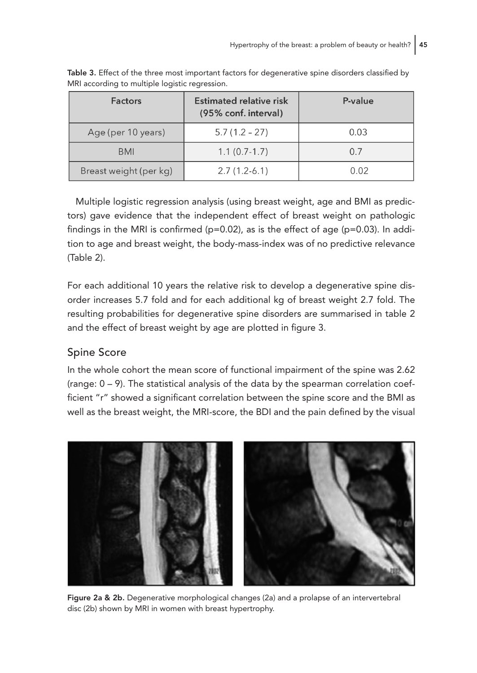| <b>Factors</b>         | <b>Estimated relative risk</b><br>(95% conf. interval) | P-value |
|------------------------|--------------------------------------------------------|---------|
| Age (per 10 years)     | $5.7(1.2 - 27)$                                        | 0.03    |
| <b>BMI</b>             | $1.1(0.7-1.7)$                                         | 0.7     |
| Breast weight (per kg) | $2.7(1.2-6.1)$                                         | 0.02    |

Table 3. Effect of the three most important factors for degenerative spine disorders classified by MRI according to multiple logistic regression.

Multiple logistic regression analysis (using breast weight, age and BMI as predictors) gave evidence that the independent effect of breast weight on pathologic findings in the MRI is confirmed (p=0.02), as is the effect of age (p=0.03). In addition to age and breast weight, the body-mass-index was of no predictive relevance (Table 2).

For each additional 10 years the relative risk to develop a degenerative spine disorder increases 5.7 fold and for each additional kg of breast weight 2.7 fold. The resulting probabilities for degenerative spine disorders are summarised in table 2 and the effect of breast weight by age are plotted in figure 3.

## Spine Score

In the whole cohort the mean score of functional impairment of the spine was 2.62 (range: 0 – 9). The statistical analysis of the data by the spearman correlation coefficient "r" showed a significant correlation between the spine score and the BMI as well as the breast weight, the MRI-score, the BDI and the pain defined by the visual



Figure 2a & 2b. Degenerative morphological changes (2a) and a prolapse of an intervertebral disc (2b) shown by MRI in women with breast hypertrophy.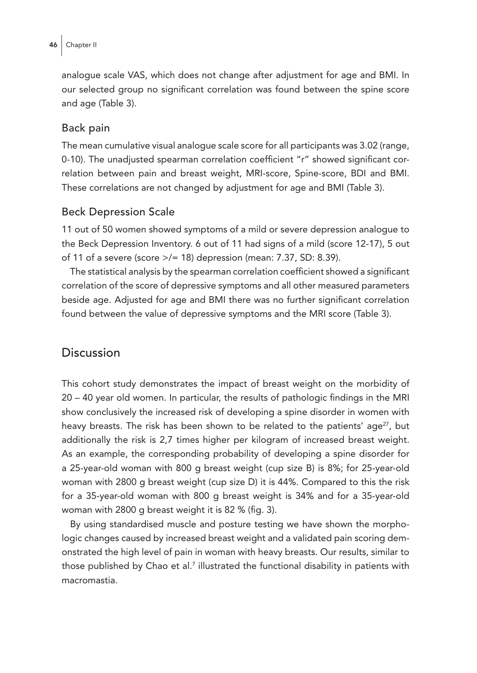analogue scale VAS, which does not change after adjustment for age and BMI. In our selected group no significant correlation was found between the spine score and age (Table 3).

#### Back pain

The mean cumulative visual analogue scale score for all participants was 3.02 (range, 0-10). The unadjusted spearman correlation coefficient "r" showed significant correlation between pain and breast weight, MRI-score, Spine-score, BDI and BMI. These correlations are not changed by adjustment for age and BMI (Table 3).

#### Beck Depression Scale

11 out of 50 women showed symptoms of a mild or severe depression analogue to the Beck Depression Inventory. 6 out of 11 had signs of a mild (score 12-17), 5 out of 11 of a severe (score >/= 18) depression (mean: 7.37, SD: 8.39).

The statistical analysis by the spearman correlation coefficient showed a significant correlation of the score of depressive symptoms and all other measured parameters beside age. Adjusted for age and BMI there was no further significant correlation found between the value of depressive symptoms and the MRI score (Table 3).

#### Discussion

This cohort study demonstrates the impact of breast weight on the morbidity of 20 – 40 year old women. In particular, the results of pathologic findings in the MRI show conclusively the increased risk of developing a spine disorder in women with heavy breasts. The risk has been shown to be related to the patients' age<sup>27</sup>, but additionally the risk is 2,7 times higher per kilogram of increased breast weight. As an example, the corresponding probability of developing a spine disorder for a 25-year-old woman with 800 g breast weight (cup size B) is 8%; for 25-year-old woman with 2800 g breast weight (cup size D) it is 44%. Compared to this the risk for a 35-year-old woman with 800 g breast weight is 34% and for a 35-year-old woman with 2800 g breast weight it is 82 % (fig. 3).

By using standardised muscle and posture testing we have shown the morphologic changes caused by increased breast weight and a validated pain scoring demonstrated the high level of pain in woman with heavy breasts. Our results, similar to those published by Chao et al.<sup>7</sup> illustrated the functional disability in patients with macromastia.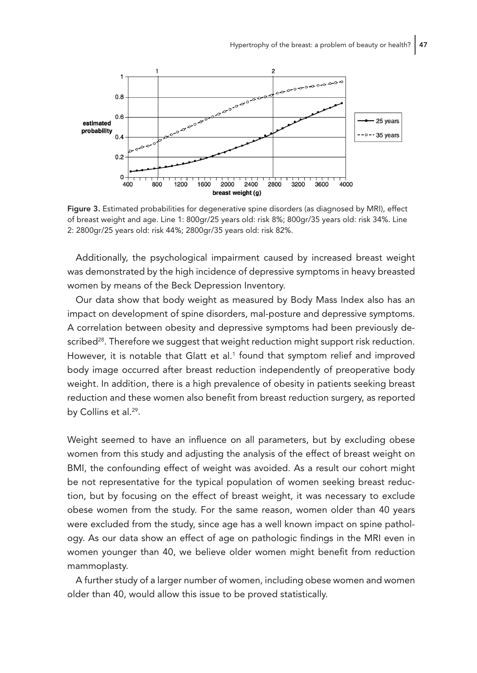

Figure 3. Estimated probabilities for degenerative spine disorders (as diagnosed by MRI), effect of breast weight and age. Line 1: 800gr/25 years old: risk 8%; 800gr/35 years old: risk 34%. Line 2: 2800gr/25 years old: risk 44%; 2800gr/35 years old: risk 82%.

Additionally, the psychological impairment caused by increased breast weight was demonstrated by the high incidence of depressive symptoms in heavy breasted women by means of the Beck Depression Inventory.

Our data show that body weight as measured by Body Mass Index also has an impact on development of spine disorders, mal-posture and depressive symptoms. A correlation between obesity and depressive symptoms had been previously described $28$ . Therefore we suggest that weight reduction might support risk reduction. However, it is notable that Glatt et al.<sup>1</sup> found that symptom relief and improved body image occurred after breast reduction independently of preoperative body weight. In addition, there is a high prevalence of obesity in patients seeking breast reduction and these women also benefit from breast reduction surgery, as reported by Collins et al.<sup>29</sup>.

Weight seemed to have an influence on all parameters, but by excluding obese women from this study and adjusting the analysis of the effect of breast weight on BMI, the confounding effect of weight was avoided. As a result our cohort might be not representative for the typical population of women seeking breast reduction, but by focusing on the effect of breast weight, it was necessary to exclude obese women from the study. For the same reason, women older than 40 years were excluded from the study, since age has a well known impact on spine pathology. As our data show an effect of age on pathologic findings in the MRI even in women younger than 40, we believe older women might benefit from reduction mammoplasty.

A further study of a larger number of women, including obese women and women older than 40, would allow this issue to be proved statistically.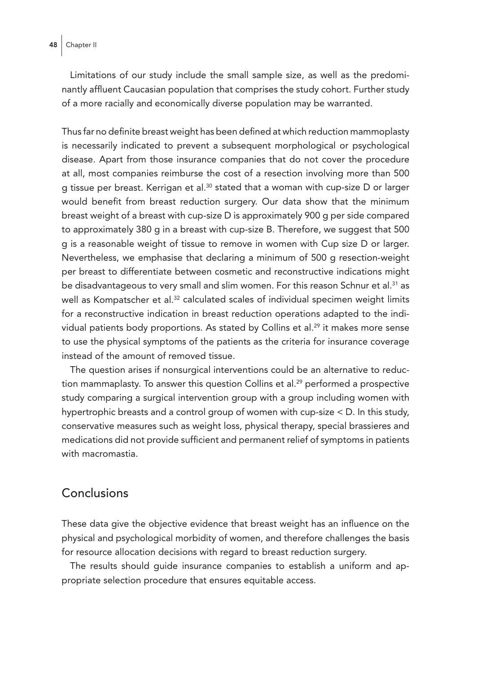Limitations of our study include the small sample size, as well as the predominantly affluent Caucasian population that comprises the study cohort. Further study of a more racially and economically diverse population may be warranted.

Thus far no definite breast weight has been defined at which reduction mammoplasty is necessarily indicated to prevent a subsequent morphological or psychological disease. Apart from those insurance companies that do not cover the procedure at all, most companies reimburse the cost of a resection involving more than 500 g tissue per breast. Kerrigan et al.30 stated that a woman with cup-size D or larger would benefit from breast reduction surgery. Our data show that the minimum breast weight of a breast with cup-size D is approximately 900 g per side compared to approximately 380 g in a breast with cup-size B. Therefore, we suggest that 500 g is a reasonable weight of tissue to remove in women with Cup size D or larger. Nevertheless, we emphasise that declaring a minimum of 500 g resection-weight per breast to differentiate between cosmetic and reconstructive indications might be disadvantageous to very small and slim women. For this reason Schnur et al.<sup>31</sup> as well as Kompatscher et al.<sup>32</sup> calculated scales of individual specimen weight limits for a reconstructive indication in breast reduction operations adapted to the individual patients body proportions. As stated by Collins et al.29 it makes more sense to use the physical symptoms of the patients as the criteria for insurance coverage instead of the amount of removed tissue.

The question arises if nonsurgical interventions could be an alternative to reduction mammaplasty. To answer this question Collins et al.<sup>29</sup> performed a prospective study comparing a surgical intervention group with a group including women with hypertrophic breasts and a control group of women with cup-size < D. In this study, conservative measures such as weight loss, physical therapy, special brassieres and medications did not provide sufficient and permanent relief of symptoms in patients with macromastia.

### Conclusions

These data give the objective evidence that breast weight has an influence on the physical and psychological morbidity of women, and therefore challenges the basis for resource allocation decisions with regard to breast reduction surgery.

The results should guide insurance companies to establish a uniform and appropriate selection procedure that ensures equitable access.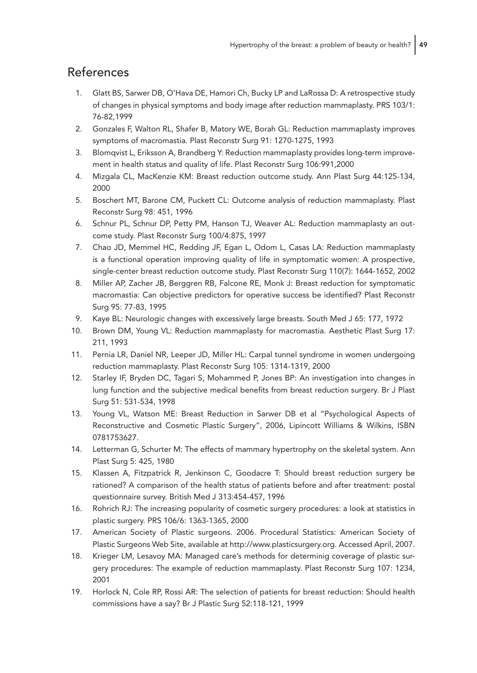## References

- 1. Glatt BS, Sarwer DB, O'Hava DE, Hamori Ch, Bucky LP and LaRossa D: A retrospective study of changes in physical symptoms and body image after reduction mammaplasty. PRS 103/1: 76-82,1999
- 2. Gonzales F, Walton RL, Shafer B, Matory WE, Borah GL: Reduction mammaplasty improves symptoms of macromastia. Plast Reconstr Surg 91: 1270-1275, 1993
- 3. Blomqvist L, Eriksson A, Brandberg Y: Reduction mammaplasty provides long-term improvement in health status and quality of life. Plast Reconstr Surg 106:991,2000
- 4. Mizgala CL, MacKenzie KM: Breast reduction outcome study. Ann Plast Surg 44:125-134, 2000
- 5. Boschert MT, Barone CM, Puckett CL: Outcome analysis of reduction mammaplasty. Plast Reconstr Surg 98: 451, 1996
- 6. Schnur PL, Schnur DP, Petty PM, Hanson TJ, Weaver AL: Reduction mammaplasty an outcome study. Plast Reconstr Surg 100/4:875, 1997
- 7. Chao JD, Memmel HC, Redding JF, Egan L, Odom L, Casas LA: Reduction mammaplasty is a functional operation improving quality of life in symptomatic women: A prospective, single-center breast reduction outcome study. Plast Reconstr Surg 110(7): 1644-1652, 2002
- 8. Miller AP, Zacher JB, Berggren RB, Falcone RE, Monk J: Breast reduction for symptomatic macromastia: Can objective predictors for operative success be identified? Plast Reconstr Surg 95: 77-83, 1995
- 9. Kaye BL: Neurologic changes with excessively large breasts. South Med J 65: 177, 1972
- 10. Brown DM, Young VL: Reduction mammaplasty for macromastia. Aesthetic Plast Surg 17: 211, 1993
- 11. Pernia LR, Daniel NR, Leeper JD, Miller HL: Carpal tunnel syndrome in women undergoing reduction mammaplasty. Plast Reconstr Surg 105: 1314-1319, 2000
- 12. Starley IF, Bryden DC, Tagari S, Mohammed P, Jones BP: An investigation into changes in lung function and the subjective medical benefits from breast reduction surgery. Br J Plast Surg 51: 531-534, 1998
- 13. Young VL, Watson ME: Breast Reduction in Sarwer DB et al "Psychological Aspects of Reconstructive and Cosmetic Plastic Surgery", 2006, Lipincott Williams & Wilkins, ISBN 0781753627.
- 14. Letterman G, Schurter M: The effects of mammary hypertrophy on the skeletal system. Ann Plast Surg 5: 425, 1980
- 15. Klassen A, Fitzpatrick R, Jenkinson C, Goodacre T: Should breast reduction surgery be rationed? A comparison of the health status of patients before and after treatment: postal questionnaire survey. British Med J 313:454-457, 1996
- 16. Rohrich RJ: The increasing popularity of cosmetic surgery procedures: a look at statistics in plastic surgery. PRS 106/6: 1363-1365, 2000
- 17. American Society of Plastic surgeons. 2006. Procedural Statistics: American Society of Plastic Surgeons Web Site, available at http://www.plasticsurgery.org. Accessed April, 2007.
- 18. Krieger LM, Lesavoy MA: Managed care's methods for determinig coverage of plastic surgery procedures: The example of reduction mammaplasty. Plast Reconstr Surg 107: 1234, 2001
- 19. Horlock N, Cole RP, Rossi AR: The selection of patients for breast reduction: Should health commissions have a say? Br J Plastic Surg 52:118-121, 1999